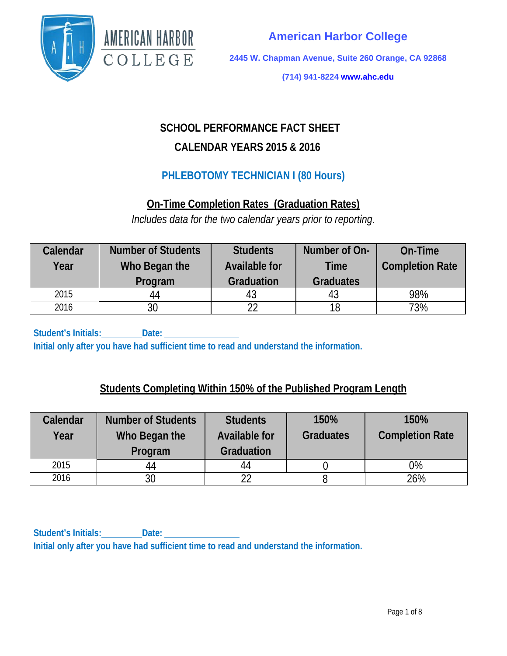

**American Harbor College**

**2445 W. Chapman Avenue, Suite 260 Orange, CA 92868**

**(714) 941-8224 [www.ahc.edu](http://www.ahc.edu/)**

# **SCHOOL PERFORMANCE FACT SHEET CALENDAR YEARS 2015 & 2016**

## **PHLEBOTOMY TECHNICIAN I (80 Hours)**

## **On-Time Completion Rates (Graduation Rates)**

*Includes data for the two calendar years prior to reporting.*

| Calendar | <b>Number of Students</b> | <b>Students</b>      | Number of On-    | On-Time                |
|----------|---------------------------|----------------------|------------------|------------------------|
| Year     | Who Began the             | <b>Available for</b> | Time             | <b>Completion Rate</b> |
|          | Program                   | <b>Graduation</b>    | <b>Graduates</b> |                        |
| 2015     | 44                        |                      |                  | 98%                    |
| 2016     |                           | つつ                   | 18               | 73%                    |

**Student's Initials: Date:**

**Initial only after you have had sufficient time to read and understand the information.**

## **Students Completing Within 150% of the Published Program Length**

| Calendar | <b>Number of Students</b> | <b>Students</b>      | 150%             | 150%                   |
|----------|---------------------------|----------------------|------------------|------------------------|
| Year     | Who Began the             | <b>Available for</b> | <b>Graduates</b> | <b>Completion Rate</b> |
|          | Program                   | <b>Graduation</b>    |                  |                        |
| 2015     | 44                        | 44                   |                  | 0%                     |
| 2016     | 30                        |                      |                  | 26%                    |

Student's Initials: **Date:** Date: **Initial only after you have had sufficient time to read and understand the information.**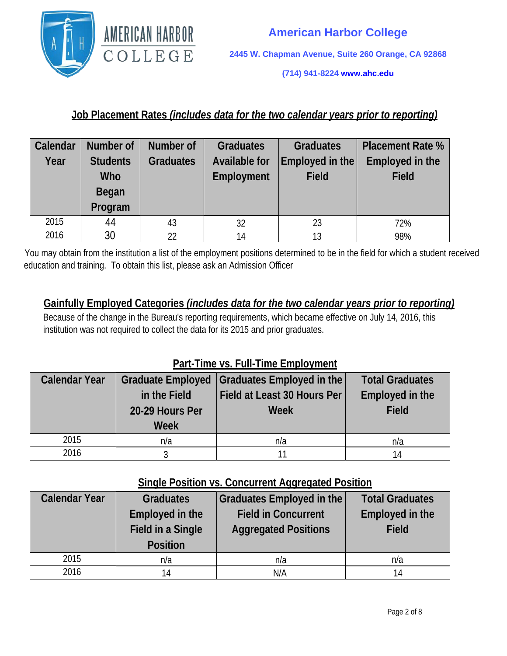

**(714) 941-8224 [www.ahc.edu](http://www.ahc.edu/)**

## **Job Placement Rates** *(includes data for the two calendar years prior to reporting)*

| Calendar | Number of       | Number of        | <b>Graduates</b>     | <b>Graduates</b> | <b>Placement Rate %</b> |
|----------|-----------------|------------------|----------------------|------------------|-------------------------|
| Year     | <b>Students</b> | <b>Graduates</b> | <b>Available for</b> | Employed in the  | Employed in the         |
|          | Who             |                  | Employment           | <b>Field</b>     | <b>Field</b>            |
|          | Began           |                  |                      |                  |                         |
|          | Program         |                  |                      |                  |                         |
| 2015     | 44              | 43               | 32                   | 23               | 72%                     |
| 2016     | 30              | 22               | 14                   | 13               | 98%                     |

You may obtain from the institution a list of the employment positions determined to be in the field for which a student received education and training. To obtain this list, please ask an Admission Officer

## **Gainfully Employed Categories** *(includes data for the two calendar years prior to reporting)*

Because of the change in the Bureau's reporting requirements, which became effective on July 14, 2016, this institution was not required to collect the data for its 2015 and prior graduates.

### **Part-Time vs. Full-Time Employment**

| <b>Calendar Year</b> |                 | Graduate Employed   Graduates Employed in the  | <b>Total Graduates</b> |  |
|----------------------|-----------------|------------------------------------------------|------------------------|--|
|                      | in the Field    | Field at Least 30 Hours Per<br>Employed in the |                        |  |
|                      | 20-29 Hours Per | Week                                           | <b>Field</b>           |  |
|                      | Week            |                                                |                        |  |
| 2015                 | n/a             | n/a                                            | n/a                    |  |
| 2016                 |                 |                                                | 14                     |  |

### **Single Position vs. Concurrent Aggregated Position**

| <b>Calendar Year</b> | <b>Graduates</b>  | <b>Graduates Employed in the</b> | <b>Total Graduates</b> |  |
|----------------------|-------------------|----------------------------------|------------------------|--|
|                      | Employed in the   | <b>Field in Concurrent</b>       |                        |  |
|                      | Field in a Single | <b>Aggregated Positions</b>      | <b>Field</b>           |  |
|                      | <b>Position</b>   |                                  |                        |  |
| 2015                 | n/a               | n/a                              | n/a                    |  |
| 2016                 | 14                | N/A                              |                        |  |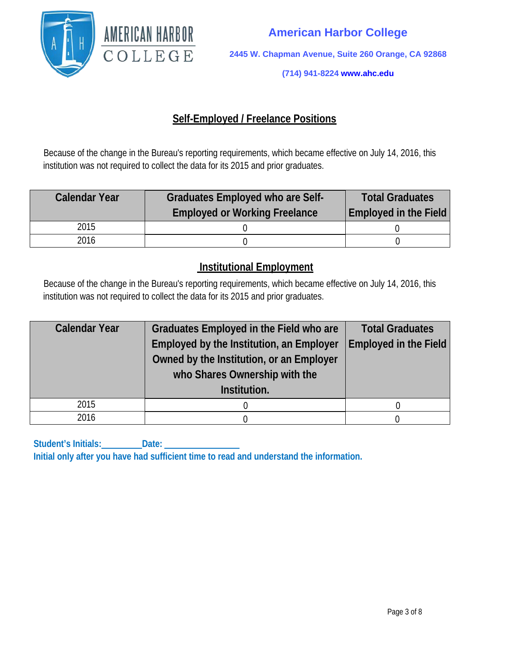

**(714) 941-8224 [www.ahc.edu](http://www.ahc.edu/)**

## **Self-Employed / Freelance Positions**

Because of the change in the Bureau's reporting requirements, which became effective on July 14, 2016, this institution was not required to collect the data for its 2015 and prior graduates.

| <b>Calendar Year</b> | <b>Graduates Employed who are Self-</b><br><b>Employed or Working Freelance</b> | <b>Total Graduates</b><br><b>Employed in the Field</b> |
|----------------------|---------------------------------------------------------------------------------|--------------------------------------------------------|
| 2015                 |                                                                                 |                                                        |
| 2016                 |                                                                                 |                                                        |

#### **Institutional Employment**

Because of the change in the Bureau's reporting requirements, which became effective on July 14, 2016, this institution was not required to collect the data for its 2015 and prior graduates.

| <b>Calendar Year</b> | Graduates Employed in the Field who are<br><b>Employed by the Institution, an Employer</b><br>Owned by the Institution, or an Employer<br>who Shares Ownership with the<br>Institution. | <b>Total Graduates</b><br>Employed in the Field |
|----------------------|-----------------------------------------------------------------------------------------------------------------------------------------------------------------------------------------|-------------------------------------------------|
| 2015                 |                                                                                                                                                                                         |                                                 |
| 2016                 |                                                                                                                                                                                         |                                                 |

Student's Initials: **Date:** Date: **Initial only after you have had sufficient time to read and understand the information.**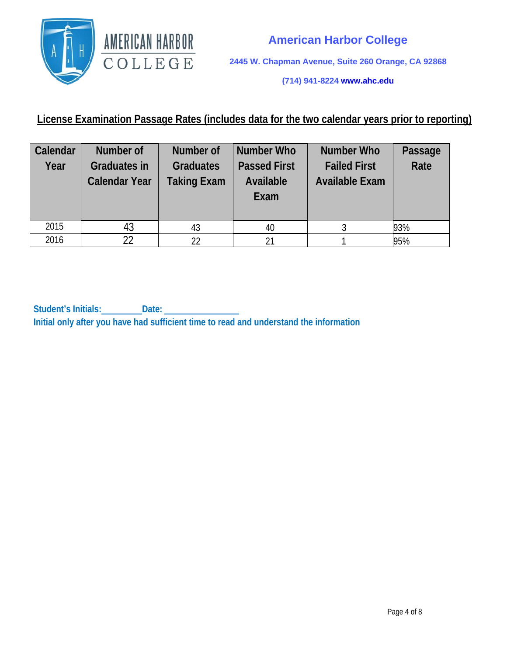

**(714) 941-8224 [www.ahc.edu](http://www.ahc.edu/)**

## **License Examination Passage Rates (includes data for the two calendar years prior to reporting)**

| Calendar | Number of                                   | Number of                              | Number Who                               | <b>Number Who</b>                            | Passage |
|----------|---------------------------------------------|----------------------------------------|------------------------------------------|----------------------------------------------|---------|
| Year     | <b>Graduates in</b><br><b>Calendar Year</b> | <b>Graduates</b><br><b>Taking Exam</b> | <b>Passed First</b><br>Available<br>Exam | <b>Failed First</b><br><b>Available Exam</b> | Rate    |
| 2015     | 43                                          | 43                                     | 40                                       |                                              | 93%     |
| 2016     | 22                                          | 22                                     | 21                                       |                                              | 95%     |

Student's Initials: **Date:** Date: **Initial only after you have had sufficient time to read and understand the information**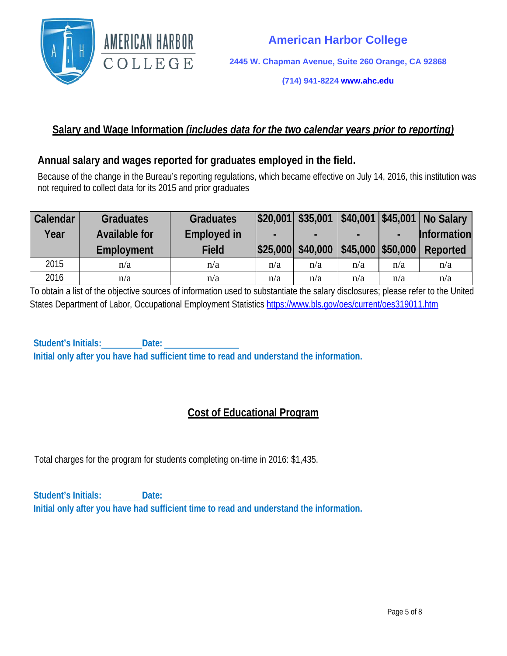

**(714) 941-8224 [www.ahc.edu](http://www.ahc.edu/)**

#### **Salary and Wage Information** *(includes data for the two calendar years prior to reporting)*

#### **Annual salary and wages reported for graduates employed in the field.**

Because of the change in the Bureau's reporting regulations, which became effective on July 14, 2016, this institution was not required to collect data for its 2015 and prior graduates

| Calendar | <b>Graduates</b>     | <b>Graduates</b>   |     | $ $20,001 $ \$35,001 |                           |     | \$40,001   \$45,001   No Salary |
|----------|----------------------|--------------------|-----|----------------------|---------------------------|-----|---------------------------------|
| Year     | <b>Available for</b> | <b>Employed in</b> |     |                      |                           |     | Information                     |
|          | Employment           | <b>Field</b>       |     | \$25,000 \$40,000    | $ $45,000$ $ $50,000$ $ $ |     | Reported                        |
| 2015     | n/a                  | n/a                | n/a | n/a                  | n/a                       | n/a | n/a                             |
| 2016     | n/a                  | n/a                | n/a | n/a                  | n/a                       | n/a | n/a                             |

To obtain a list of the objective sources of information used to substantiate the salary disclosures; please refer to the United States Department of Labor, Occupational Employment Statistics<https://www.bls.gov/oes/current/oes319011.htm>

**Student's Initials: Date: Initial only after you have had sufficient time to read and understand the information.**

## **Cost of Educational Program**

Total charges for the program for students completing on-time in 2016: \$1,435.

**Student's Initials: Date: Initial only after you have had sufficient time to read and understand the information.**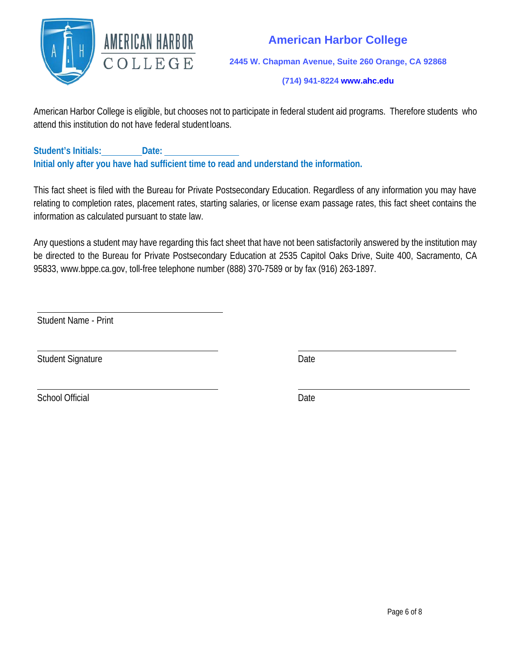

## **American Harbor College**

**2445 W. Chapman Avenue, Suite 260 Orange, CA 92868**

**(714) 941-8224 [www.ahc.edu](http://www.ahc.edu/)**

American Harbor College is eligible, but chooses not to participate in federal student aid programs. Therefore students who attend this institution do not have federal student loans.

**Student's Initials: Date: Initial only after you have had sufficient time to read and understand the information.**

This fact sheet is filed with the Bureau for Private Postsecondary Education. Regardless of any information you may have relating to completion rates, placement rates, starting salaries, or license exam passage rates, this fact sheet contains the information as calculated pursuant to state law.

Any questions a student may have regarding this fact sheet that have not been satisfactorily answered by the institution may be directed to the Bureau for Private Postsecondary Education at 2535 Capitol Oaks Drive, Suite 400, Sacramento, CA 95[833, www.bppe.ca.gov, t](http://www.bppe.ca.gov/)oll-free telephone number (888) 370-7589 or by fax (916) 263-1897.

Student Name - Print

Student Signature Date

School Official Date Date Date Date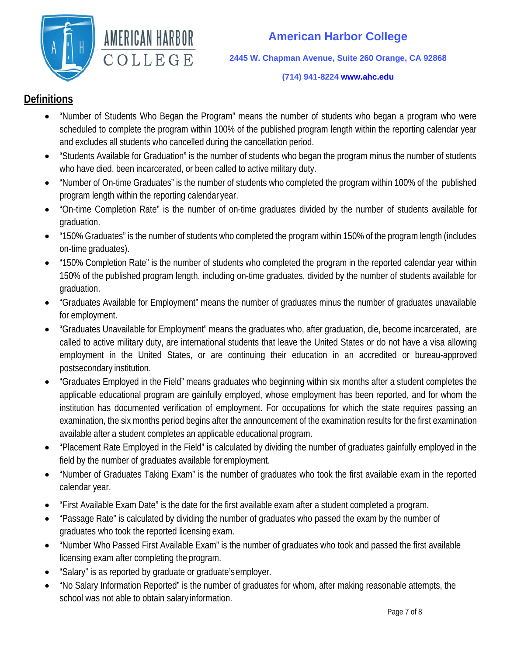

#### **(714) 941-8224 [www.ahc.edu](http://www.ahc.edu/)**

#### **Definitions**

- "Number of Students Who Began the Program" means the number of students who began a program who were scheduled to complete the program within 100% of the published program length within the reporting calendar year and excludes all students who cancelled during the cancellation period.
- "Students Available for Graduation" is the number of students who began the program minus the number of students who have died, been incarcerated, or been called to active military duty.
- "Number of On-time Graduates" is the number of students who completed the program within 100% of the published program length within the reporting calendar year.
- "On-time Completion Rate" is the number of on-time graduates divided by the number of students available for graduation.
- "150% Graduates" is the number of students who completed the program within 150% of the program length (includes on-time graduates).
- "150% Completion Rate" is the number of students who completed the program in the reported calendar year within 150% of the published program length, including on-time graduates, divided by the number of students available for graduation.
- "Graduates Available for Employment" means the number of graduates minus the number of graduates unavailable for employment.
- "Graduates Unavailable for Employment" means the graduates who, after graduation, die, become incarcerated, are called to active military duty, are international students that leave the United States or do not have a visa allowing employment in the United States, or are continuing their education in an accredited or bureau-approved postsecondary institution.
- "Graduates Employed in the Field" means graduates who beginning within six months after a student completes the applicable educational program are gainfully employed, whose employment has been reported, and for whom the institution has documented verification of employment. For occupations for which the state requires passing an examination, the six months period begins after the announcement of the examination results for the first examination available after a student completes an applicable educational program.
- "Placement Rate Employed in the Field" is calculated by dividing the number of graduates gainfully employed in the field by the number of graduates available foremployment.
- "Number of Graduates Taking Exam" is the number of graduates who took the first available exam in the reported calendar year.
- "First Available Exam Date" is the date for the first available exam after a student completed a program.
- "Passage Rate" is calculated by dividing the number of graduates who passed the exam by the number of graduates who took the reported licensing exam.
- "Number Who Passed First Available Exam" is the number of graduates who took and passed the first available licensing exam after completing the program.
- "Salary" is as reported by graduate or graduate'semployer.
- "No Salary Information Reported" is the number of graduates for whom, after making reasonable attempts, the school was not able to obtain salary information.